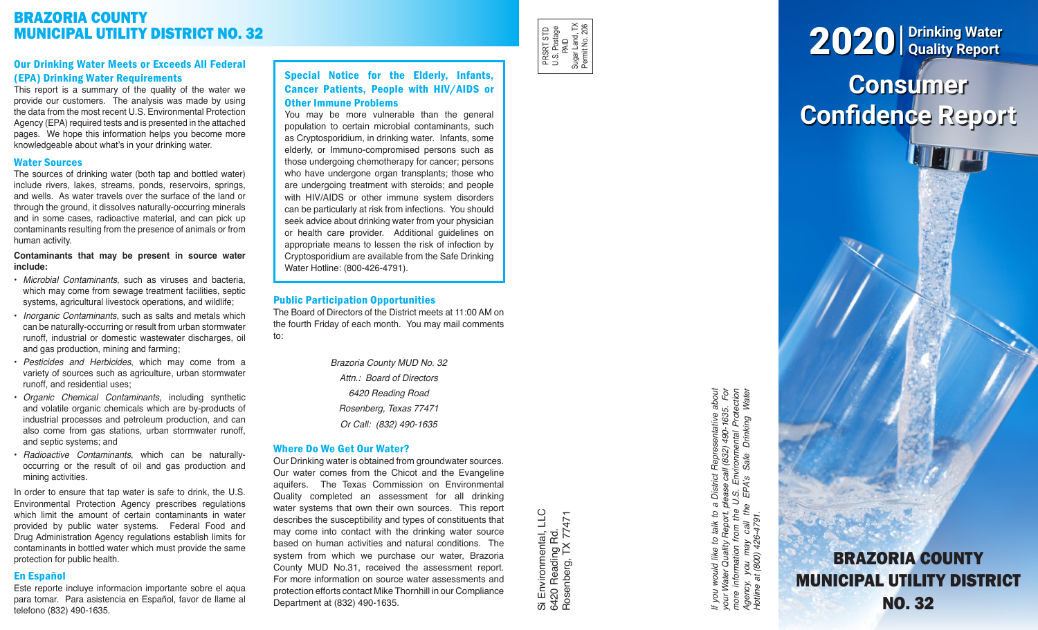# BRAZORIA COUNTY MUNICIPAL UTILITY DISTRICT NO. 32

# Our Drinking Water Meets or Exceeds All Federal (EPA) Drinking Water Requirements

This report is a summary of the quality of the water we provide our customers. The analysis was made by using the data from the most recent U.S. Environmental Protection Agency (EPA) required tests and is presented in the attached pages. We hope this information helps you become more knowledgeable about what's in your drinking water.

#### Water Sources

The sources of drinking water (both tap and bottled water) include rivers, lakes, streams, ponds, reservoirs, springs, and wells. As water travels over the surface of the land or through the ground, it dissolves naturally-occurring minerals and in some cases, radioactive material, and can pick up contaminants resulting from the presence of animals or from human activity.

#### **Contaminants that may be present in source water include:**

- *Microbial Contaminants*, such as viruses and bacteria, which may come from sewage treatment facilities, septic systems, agricultural livestock operations, and wildlife;
- *Inorganic Contaminants*, such as salts and metals which can be naturally-occurring or result from urban stormwater runoff, industrial or domestic wastewater discharges, oil and gas production, mining and farming;
- *Pesticides and Herbicides*, which may come from a variety of sources such as agriculture, urban stormwater runoff, and residential uses;
- *Organic Chemical Contaminants*, including synthetic and volatile organic chemicals which are by-products of industrial processes and petroleum production, and can also come from gas stations, urban stormwater runoff, and septic systems; and
- *Radioactive Contaminants*, which can be naturallyoccurring or the result of oil and gas production and mining activities.

In order to ensure that tap water is safe to drink, the U.S. Environmental Protection Agency prescribes regulations which limit the amount of certain contaminants in water provided by public water systems. Federal Food and Drug Administration Agency regulations establish limits for contaminants in bottled water which must provide the same protection for public health.

# En Español

Este reporte incluye informacion importante sobre el aqua para tomar. Para asistencia en Español, favor de llame al telefono (832) 490-1635.

# Special Notice for the Elderly, Infants, Cancer Patients, People with HIV/AIDS or Other Immune Problems

You may be more vulnerable than the general population to certain microbial contaminants, such as Cryptosporidium, in drinking water. Infants, some elderly, or Immuno-compromised persons such as those undergoing chemotherapy for cancer; persons who have undergone organ transplants; those who are undergoing treatment with steroids; and people with HIV/AIDS or other immune system disorders can be particularly at risk from infections. You should seek advice about drinking water from your physician or health care provider. Additional guidelines on appropriate means to lessen the risk of infection by Cryptosporidium are available from the Safe Drinking Water Hotline: (800-426-4791).

## Public Participation Opportunities

The Board of Directors of the District meets at 11:00 AM on the fourth Friday of each month. You may mail comments to:

> *Brazoria County MUD No. 32 Attn.: Board of Directors 6420 Reading Road Rosenberg, Texas 77471 Or Call: (832) 490-1635*

### Where Do We Get Our Water?

Our Drinking water is obtained from groundwater sources. Our water comes from the Chicot and the Evangeline aquifers. The Texas Commission on Environmental Quality completed an assessment for all drinking water systems that own their own sources. This report describes the susceptibility and types of constituents that may come into contact with the drinking water source based on human activities and natural conditions. The system from which we purchase our water, Brazoria County MUD No.31, received the assessment report. For more information on source water assessments and protection efforts contact Mike Thornhill in our Compliance Department at (832) 490-1635.

Si Environmental, LLC<br>6420 Reading Rd.<br>Rosenberg, TX 77471 Si Environmental, LLC Rosenberg, TX 77471 6420 Reading Rd.

PRSRT STD U.S. Postage PRSRT STD<br>U.S. Postage<br>Sugar Land, TX<br>Sugar Land, TX<br>Permit No. 206 Sugar Land, TX Permit No. 206

> If you would like to talk to a District Representative about<br>your Water Quality Report, please call (832) 490-1635. For<br>more information from the U.S. Environmental Protection<br>Agency, you may call the EPA's Safe Drinking W *If you would like to talk to a District Representative about your Water Quality Report, please call (832) 490-1635. For more information from the U.S. Environmental Protection Agency, you may call the EPA's Safe Drinking Water Hotline at (800) 426-4791.*

# **Consumer Confidence Report** 2020 **Drinking Water Quality Report**

BRAZORIA COUNTY MUNICIPAL UTILITY DISTRICT NO. 32